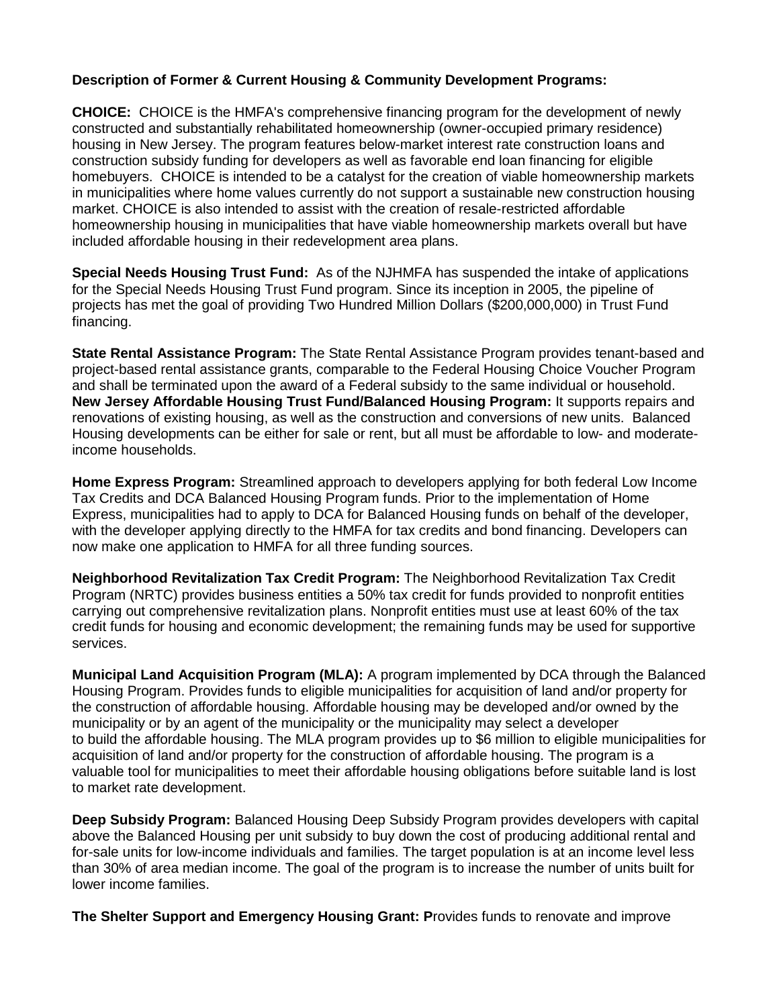## **Description of Former & Current Housing & Community Development Programs:**

**CHOICE:** CHOICE is the HMFA's comprehensive financing program for the development of newly constructed and substantially rehabilitated homeownership (owner-occupied primary residence) housing in New Jersey. The program features below-market interest rate construction loans and construction subsidy funding for developers as well as favorable end loan financing for eligible homebuyers. CHOICE is intended to be a catalyst for the creation of viable homeownership markets in municipalities where home values currently do not support a sustainable new construction housing market. CHOICE is also intended to assist with the creation of resale-restricted affordable homeownership housing in municipalities that have viable homeownership markets overall but have included affordable housing in their redevelopment area plans.

**Special Needs Housing Trust Fund:** As of the NJHMFA has suspended the intake of applications for the Special Needs Housing Trust Fund program. Since its inception in 2005, the pipeline of projects has met the goal of providing Two Hundred Million Dollars (\$200,000,000) in Trust Fund financing.

**State Rental Assistance Program:** The State Rental Assistance Program provides tenant-based and project-based rental assistance grants, comparable to the Federal Housing Choice Voucher Program and shall be terminated upon the award of a Federal subsidy to the same individual or household. **New Jersey Affordable Housing Trust Fund/Balanced Housing Program:** It supports repairs and renovations of existing housing, as well as the construction and conversions of new units. Balanced Housing developments can be either for sale or rent, but all must be affordable to low- and moderateincome households.

**Home Express Program:** Streamlined approach to developers applying for both federal Low Income Tax Credits and DCA Balanced Housing Program funds. Prior to the implementation of Home Express, municipalities had to apply to DCA for Balanced Housing funds on behalf of the developer, with the developer applying directly to the HMFA for tax credits and bond financing. Developers can now make one application to HMFA for all three funding sources.

**Neighborhood Revitalization Tax Credit Program:** The Neighborhood Revitalization Tax Credit Program (NRTC) provides business entities a 50% tax credit for funds provided to nonprofit entities carrying out comprehensive revitalization plans. Nonprofit entities must use at least 60% of the tax credit funds for housing and economic development; the remaining funds may be used for supportive services.

**Municipal Land Acquisition Program (MLA):** A program implemented by DCA through the Balanced Housing Program. Provides funds to eligible municipalities for acquisition of land and/or property for the construction of affordable housing. Affordable housing may be developed and/or owned by the municipality or by an agent of the municipality or the municipality may select a developer to build the affordable housing. The MLA program provides up to \$6 million to eligible municipalities for acquisition of land and/or property for the construction of affordable housing. The program is a valuable tool for municipalities to meet their affordable housing obligations before suitable land is lost to market rate development.

**Deep Subsidy Program:** Balanced Housing Deep Subsidy Program provides developers with capital above the Balanced Housing per unit subsidy to buy down the cost of producing additional rental and for-sale units for low-income individuals and families. The target population is at an income level less than 30% of area median income. The goal of the program is to increase the number of units built for lower income families.

**The Shelter Support and Emergency Housing Grant: P**rovides funds to renovate and improve